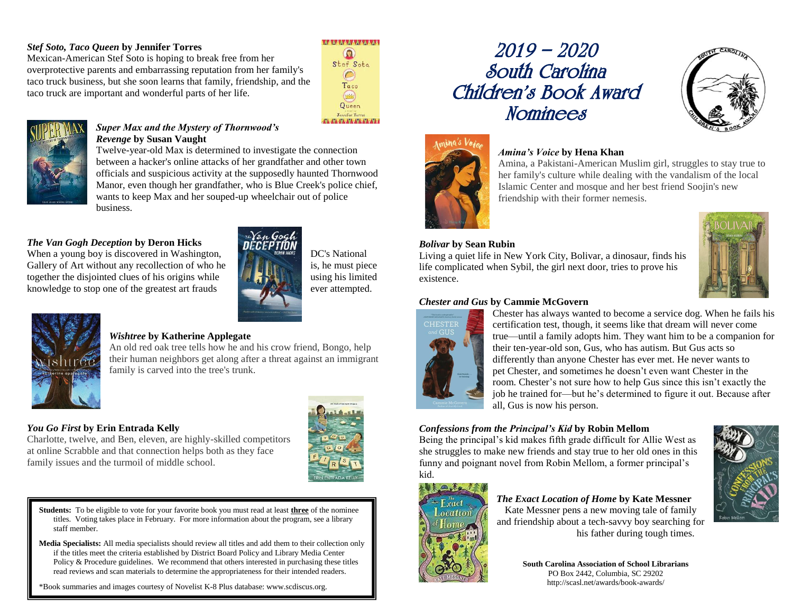## *Stef Soto, Taco Queen* **by Jennifer Torres**

Mexican-American Stef Soto is hoping to break free from her overprotective parents and embarrassing reputation from her family's taco truck business, but she soon learns that family, friendship, and the taco truck are important and wonderful parts of her life.



### *Super Max and the Mystery of Thornwood's Revenge* **by Susan Vaught**

Twelve-year-old Max is determined to investigate the connection between a hacker's online attacks of her grandfather and other town officials and suspicious activity at the supposedly haunted Thornwood Manor, even though her grandfather, who is Blue Creek's police chief, wants to keep Max and her souped-up wheelchair out of police business.

# *The Van Gogh Deception* **by Deron Hicks**

When a young boy is discovered in Washington,  $DC'$ s National Gallery of Art without any recollection of who he is, he must piece together the disjointed clues of his origins while  $\mathcal{L}$   $\mathcal{L}$  is using his limited knowledge to stop one of the greatest art frauds ever attempted.



### *Wishtree* **by Katherine Applegate**

An old red oak tree tells how he and his crow friend, Bongo, help their human neighbors get along after a threat against an immigrant family is carved into the tree's trunk.

# *You Go First* **by Erin Entrada Kelly**

Charlotte, twelve, and Ben, eleven, are highly-skilled competitors at online Scrabble and that connection helps both as they face family issues and the turmoil of middle school.



**Students:** To be eligible to vote for your favorite book you must read at least **three** of the nominee titles. Voting takes place in February. For more information about the program, see a library staff member.

**Media Specialists:** All media specialists should review all titles and add them to their collection only if the titles meet the criteria established by District Board Policy and Library Media Center Policy & Procedure guidelines. We recommend that others interested in purchasing these titles read reviews and scan materials to determine the appropriateness for their intended readers.

\*Book summaries and images courtesy of Novelist K-8 Plus database: www.scdiscus.org.

# 2019 – 2020 South Carolina Children's Book Award **Nominees**



# *Amina's Voice* **by Hena Khan**

Amina, a Pakistani-American Muslim girl, struggles to stay true to her family's culture while dealing with the vandalism of the local Islamic Center and mosque and her best friend Soojin's new friendship with their former nemesis.





### *Bolivar* **by Sean Rubin**

Living a quiet life in New York City, Bolivar, a dinosaur, finds his life complicated when Sybil, the girl next door, tries to prove his existence.

### *Chester and Gus* **by Cammie McGovern**



Chester has always wanted to become a service dog. When he fails his certification test, though, it seems like that dream will never come true—until a family adopts him. They want him to be a companion for their ten-year-old son, Gus, who has autism. But Gus acts so differently than anyone Chester has ever met. He never wants to pet Chester, and sometimes he doesn't even want Chester in the room. Chester's not sure how to help Gus since this isn't exactly the job he trained for—but he's determined to figure it out. Because after all, Gus is now his person.

# *Confessions from the Principal's Kid* **by Robin Mellom**

Being the principal's kid makes fifth grade difficult for Allie West as she struggles to make new friends and stay true to her old ones in this funny and poignant novel from Robin Mellom, a former principal's kid.

# *The Exact Location of Home* **by Kate Messner**

Kate Messner pens a new moving tale of family and friendship about a tech-savvy boy searching for his father during tough times.



 $A + 1$ 

**South Carolina Association of School Librarians** PO Box 2442, Columbia, SC 29202 http://scasl.net/awards/book-awards/